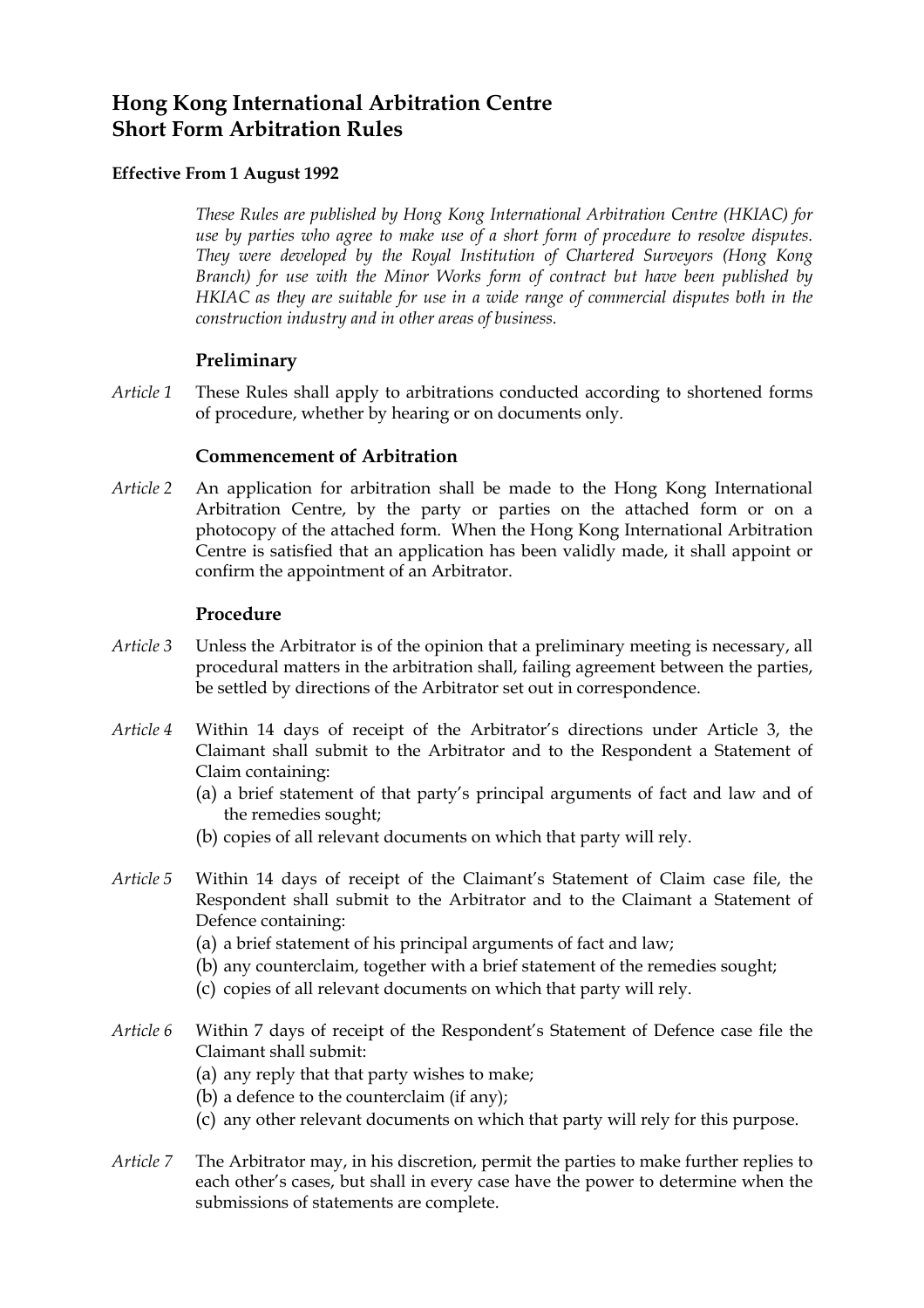# **Hong Kong International Arbitration Centre Short Form Arbitration Rules**

# **Effective From 1 August 1992**

*These Rules are published by Hong Kong International Arbitration Centre (HKIAC) for use by parties who agree to make use of a short form of procedure to resolve disputes. They were developed by the Royal Institution of Chartered Surveyors (Hong Kong Branch) for use with the Minor Works form of contract but have been published by HKIAC as they are suitable for use in a wide range of commercial disputes both in the construction industry and in other areas of business.* 

# **Preliminary**

*Article 1* These Rules shall apply to arbitrations conducted according to shortened forms of procedure, whether by hearing or on documents only.

# **Commencement of Arbitration**

*Article 2* An application for arbitration shall be made to the Hong Kong International Arbitration Centre, by the party or parties on the attached form or on a photocopy of the attached form. When the Hong Kong International Arbitration Centre is satisfied that an application has been validly made, it shall appoint or confirm the appointment of an Arbitrator.

# **Procedure**

- *Article 3* Unless the Arbitrator is of the opinion that a preliminary meeting is necessary, all procedural matters in the arbitration shall, failing agreement between the parties, be settled by directions of the Arbitrator set out in correspondence.
- *Article 4* Within 14 days of receipt of the Arbitrator's directions under Article 3, the Claimant shall submit to the Arbitrator and to the Respondent a Statement of Claim containing:
	- (a) a brief statement of that party's principal arguments of fact and law and of the remedies sought;
	- (b) copies of all relevant documents on which that party will rely.
- *Article 5* Within 14 days of receipt of the Claimant's Statement of Claim case file, the Respondent shall submit to the Arbitrator and to the Claimant a Statement of Defence containing:
	- (a) a brief statement of his principal arguments of fact and law;
	- (b) any counterclaim, together with a brief statement of the remedies sought;
	- (c) copies of all relevant documents on which that party will rely.
- *Article 6* Within 7 days of receipt of the Respondent's Statement of Defence case file the Claimant shall submit:
	- (a) any reply that that party wishes to make;
	- (b) a defence to the counterclaim (if any);
	- (c) any other relevant documents on which that party will rely for this purpose.
- *Article 7* The Arbitrator may, in his discretion, permit the parties to make further replies to each other's cases, but shall in every case have the power to determine when the submissions of statements are complete.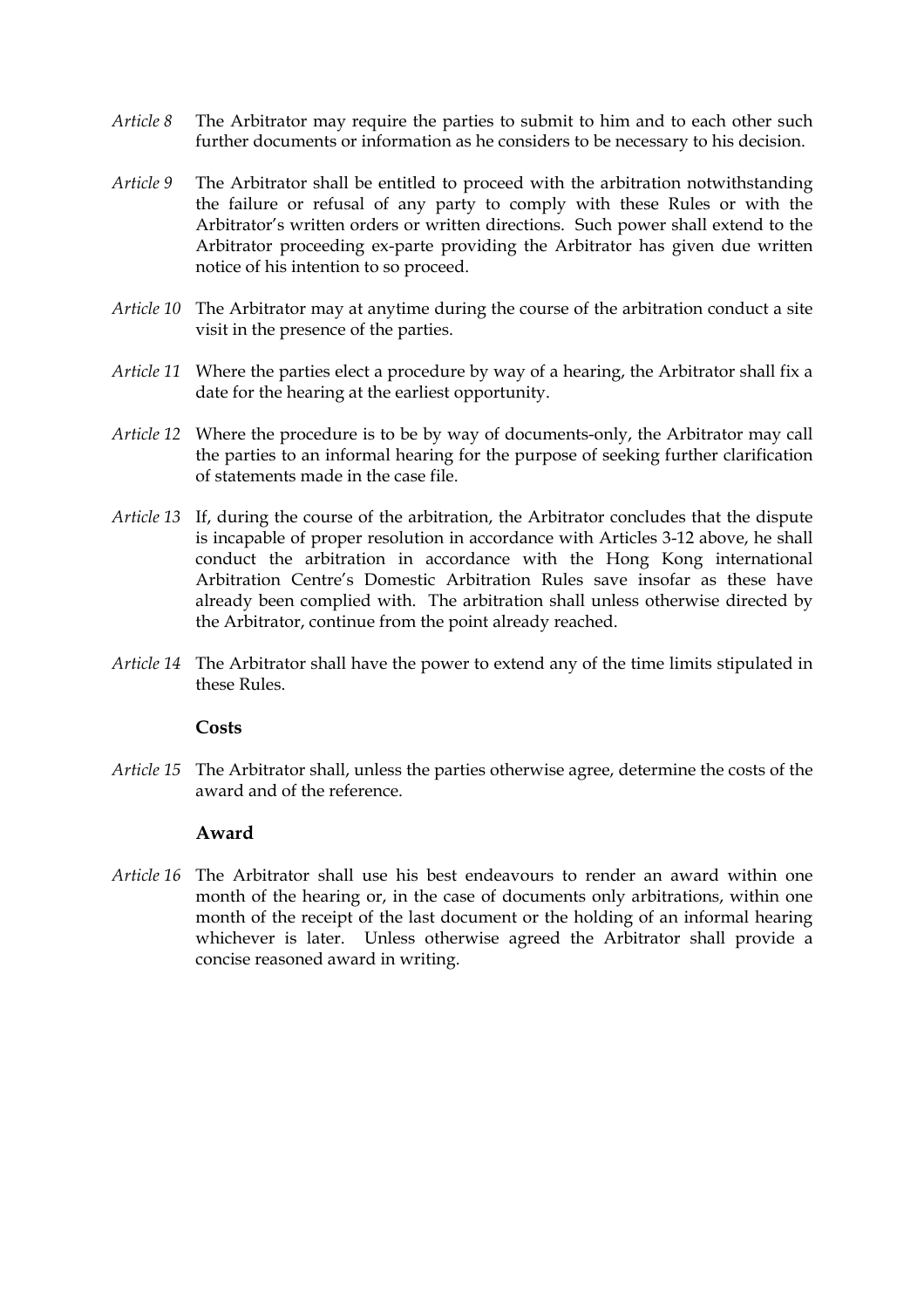- *Article 8* The Arbitrator may require the parties to submit to him and to each other such further documents or information as he considers to be necessary to his decision.
- *Article 9* The Arbitrator shall be entitled to proceed with the arbitration notwithstanding the failure or refusal of any party to comply with these Rules or with the Arbitrator's written orders or written directions. Such power shall extend to the Arbitrator proceeding ex-parte providing the Arbitrator has given due written notice of his intention to so proceed.
- *Article 10* The Arbitrator may at anytime during the course of the arbitration conduct a site visit in the presence of the parties.
- *Article 11* Where the parties elect a procedure by way of a hearing, the Arbitrator shall fix a date for the hearing at the earliest opportunity.
- *Article 12* Where the procedure is to be by way of documents-only, the Arbitrator may call the parties to an informal hearing for the purpose of seeking further clarification of statements made in the case file.
- *Article 13* If, during the course of the arbitration, the Arbitrator concludes that the dispute is incapable of proper resolution in accordance with Articles 3-12 above, he shall conduct the arbitration in accordance with the Hong Kong international Arbitration Centre's Domestic Arbitration Rules save insofar as these have already been complied with. The arbitration shall unless otherwise directed by the Arbitrator, continue from the point already reached.
- *Article 14* The Arbitrator shall have the power to extend any of the time limits stipulated in these Rules.

#### **Costs**

*Article 15* The Arbitrator shall, unless the parties otherwise agree, determine the costs of the award and of the reference.

#### **Award**

*Article 16* The Arbitrator shall use his best endeavours to render an award within one month of the hearing or, in the case of documents only arbitrations, within one month of the receipt of the last document or the holding of an informal hearing whichever is later. Unless otherwise agreed the Arbitrator shall provide a concise reasoned award in writing.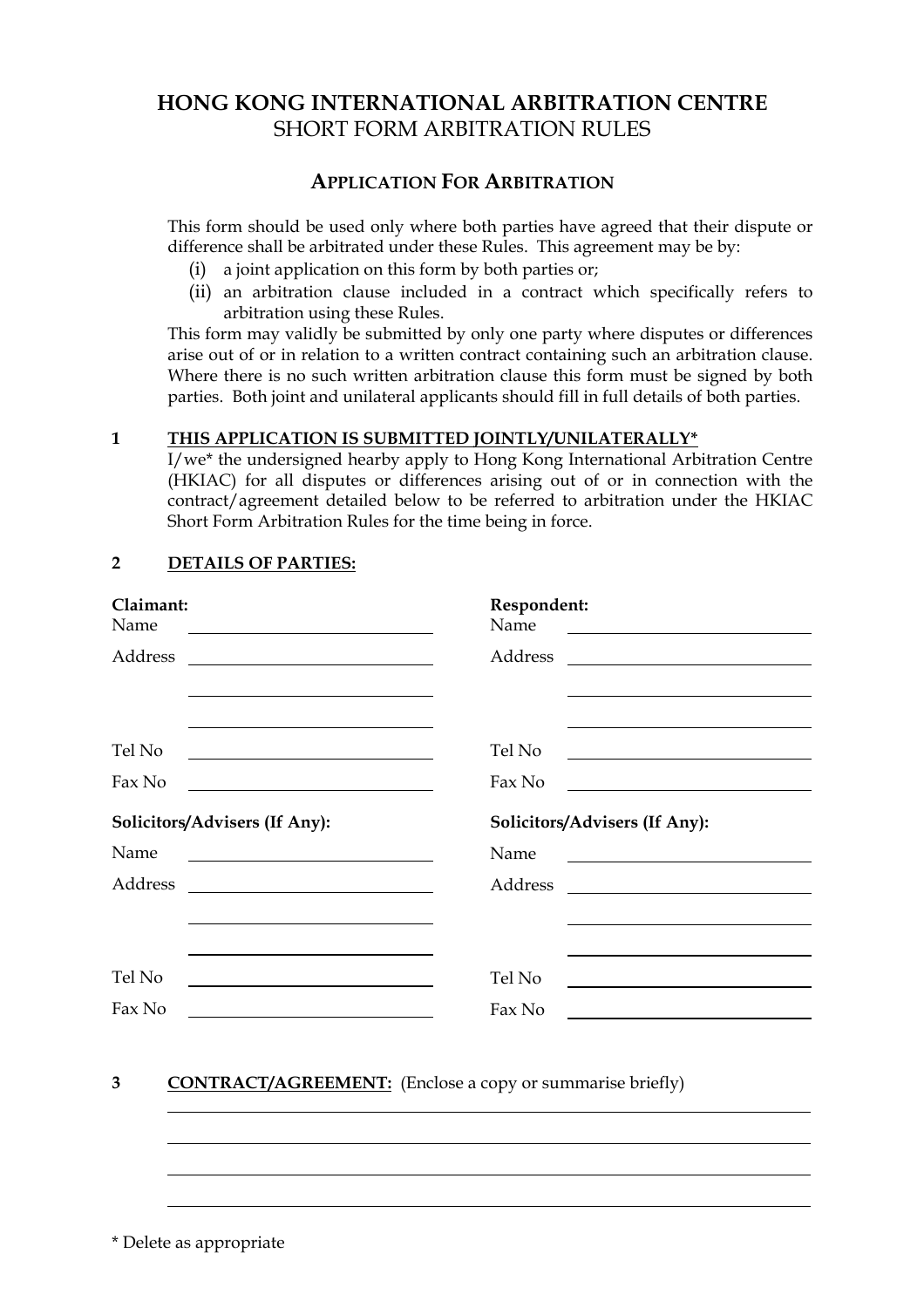# **HONG KONG INTERNATIONAL ARBITRATION CENTRE**  SHORT FORM ARBITRATION RULES

# **APPLICATION FOR ARBITRATION**

 This form should be used only where both parties have agreed that their dispute or difference shall be arbitrated under these Rules. This agreement may be by:

- (i) a joint application on this form by both parties or;
- (ii) an arbitration clause included in a contract which specifically refers to arbitration using these Rules.

This form may validly be submitted by only one party where disputes or differences arise out of or in relation to a written contract containing such an arbitration clause. Where there is no such written arbitration clause this form must be signed by both parties. Both joint and unilateral applicants should fill in full details of both parties.

# **1 THIS APPLICATION IS SUBMITTED JOINTLY/UNILATERALLY\***

 I/we\* the undersigned hearby apply to Hong Kong International Arbitration Centre (HKIAC) for all disputes or differences arising out of or in connection with the contract/agreement detailed below to be referred to arbitration under the HKIAC Short Form Arbitration Rules for the time being in force.

| Claimant:                                                                                                                                                                                                                            | Respondent:                                                                                                           |
|--------------------------------------------------------------------------------------------------------------------------------------------------------------------------------------------------------------------------------------|-----------------------------------------------------------------------------------------------------------------------|
| Name                                                                                                                                                                                                                                 | Name                                                                                                                  |
|                                                                                                                                                                                                                                      | <u> 1989 - Johann Barn, fransk politik (d. 1989)</u>                                                                  |
| Address                                                                                                                                                                                                                              | Address                                                                                                               |
| <u> 1989 - Johann Stoff, deutscher Stoffen und der Stoffen und der Stoffen und der Stoffen und der Stoffen und der</u>                                                                                                               |                                                                                                                       |
| Tel No                                                                                                                                                                                                                               | Tel No                                                                                                                |
|                                                                                                                                                                                                                                      | <u> 1989 - Johann Barn, mars eta bainar eta bainar eta baina eta baina eta baina eta baina eta baina eta baina e</u>  |
| Fax No                                                                                                                                                                                                                               | Fax No                                                                                                                |
| <u> 1989 - Johann Barbara, martin amerikan basar da</u>                                                                                                                                                                              |                                                                                                                       |
| Solicitors/Advisers (If Any):                                                                                                                                                                                                        | Solicitors/Advisers (If Any):                                                                                         |
| Name                                                                                                                                                                                                                                 | Name                                                                                                                  |
|                                                                                                                                                                                                                                      |                                                                                                                       |
| Address                                                                                                                                                                                                                              | Address                                                                                                               |
|                                                                                                                                                                                                                                      | <u> 1989 - Andrea State Barbara, amerikan per</u>                                                                     |
|                                                                                                                                                                                                                                      |                                                                                                                       |
| Tel No                                                                                                                                                                                                                               | Tel No                                                                                                                |
|                                                                                                                                                                                                                                      | <u> 1989 - Johann Harry Harry Harry Harry Harry Harry Harry Harry Harry Harry Harry Harry Harry Harry Harry Harry</u> |
| Fax No                                                                                                                                                                                                                               | Fax No                                                                                                                |
| <u>and the contract of the contract of the contract of the contract of the contract of the contract of the contract of the contract of the contract of the contract of the contract of the contract of the contract of the contr</u> |                                                                                                                       |

# **2 DETAILS OF PARTIES:**

# **3 CONTRACT/AGREEMENT:** (Enclose a copy or summarise briefly)

\* Delete as appropriate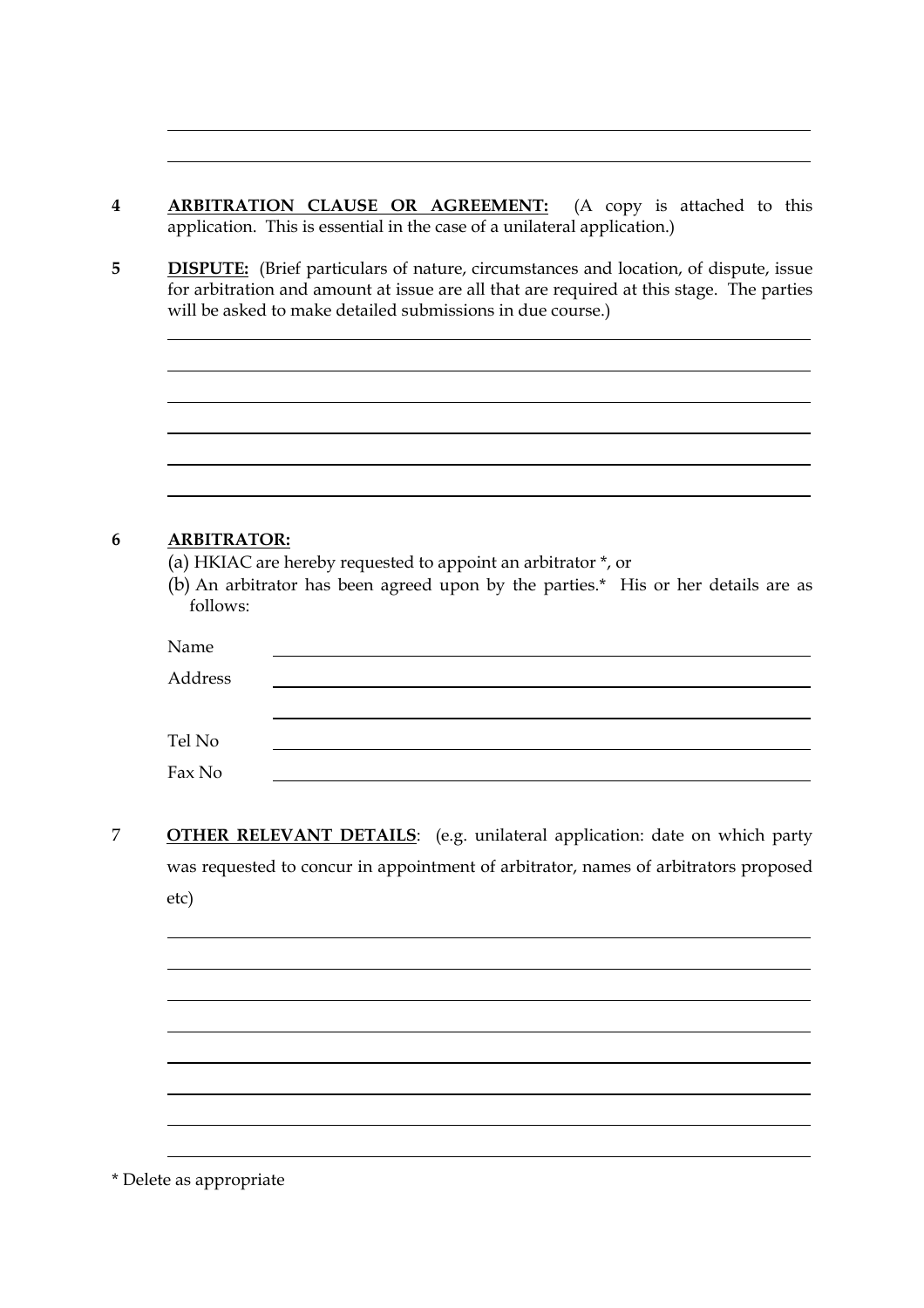- **4 ARBITRATION CLAUSE OR AGREEMENT:** (A copy is attached to this application. This is essential in the case of a unilateral application.)
- **5 DISPUTE:** (Brief particulars of nature, circumstances and location, of dispute, issue for arbitration and amount at issue are all that are required at this stage. The parties will be asked to make detailed submissions in due course.)

| <b>ARBITRATOR:</b> | (a) HKIAC are hereby requested to appoint an arbitrator *, or                     |
|--------------------|-----------------------------------------------------------------------------------|
|                    | (b) An arbitrator has been agreed upon by the parties.* His or her details are as |
| follows:           |                                                                                   |
| Name               |                                                                                   |
| Address            |                                                                                   |
|                    |                                                                                   |
| Tel No             |                                                                                   |

7 **OTHER RELEVANT DETAILS**: (e.g. unilateral application: date on which party was requested to concur in appointment of arbitrator, names of arbitrators proposed etc)

\* Delete as appropriate